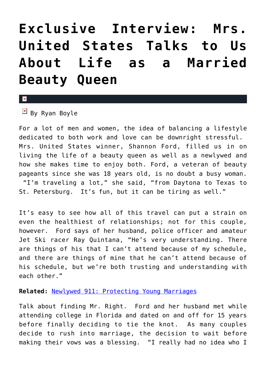## **[Exclusive Interview: Mrs.](https://cupidspulse.com/28325/mrs-united-states-shannon-ford-celiac-disease-newlywed-married-beauty-queen/) [United States Talks to Us](https://cupidspulse.com/28325/mrs-united-states-shannon-ford-celiac-disease-newlywed-married-beauty-queen/) [About Life as a Married](https://cupidspulse.com/28325/mrs-united-states-shannon-ford-celiac-disease-newlywed-married-beauty-queen/) [Beauty Queen](https://cupidspulse.com/28325/mrs-united-states-shannon-ford-celiac-disease-newlywed-married-beauty-queen/)**

## $\vert \mathbf{x} \vert$

 $\boxed{\times}$  By Ryan Boyle

For a lot of men and women, the idea of balancing a lifestyle dedicated to both work and love can be downright stressful. Mrs. United States winner, Shannon Ford, filled us in on living the life of a beauty queen as well as a newlywed and how she makes time to enjoy both. Ford, a veteran of beauty pageants since she was 18 years old, is no doubt a busy woman. "I'm traveling a lot," she said, "from Daytona to Texas to St. Petersburg. It's fun, but it can be tiring as well."

It's easy to see how all of this travel can put a strain on even the healthiest of relationships; not for this couple, however. Ford says of her husband, police officer and amateur Jet Ski racer Ray Quintana, "He's very understanding. There are things of his that I can't attend because of my schedule, and there are things of mine that he can't attend because of his schedule, but we're both trusting and understanding with each other."

## **Related:** [Newlywed 911: Protecting Young Marriages](http://cupidspulse.com/newlywed-911-protecting-young-marriages/)

Talk about finding Mr. Right. Ford and her husband met while attending college in Florida and dated on and off for 15 years before finally deciding to tie the knot. As many couples decide to rush into marriage, the decision to wait before making their vows was a blessing. "I really had no idea who I